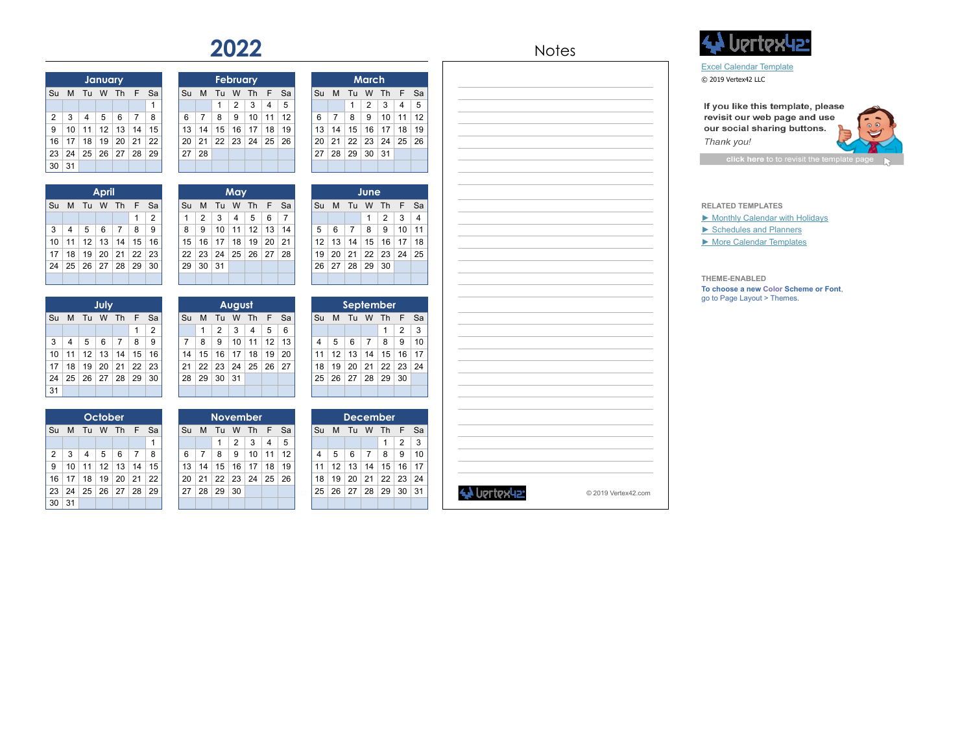|    |    |                | January      |                |                |    |
|----|----|----------------|--------------|----------------|----------------|----|
| Su | M  | Tu             | W            | Th             | F              | Sa |
|    |    |                |              |                |                | 1  |
| 2  | 3  | $\overline{4}$ | 5            | 6              | $\overline{7}$ | 8  |
| 9  | 10 | 11             | 12           | 13             | 14             | 15 |
| 16 | 17 | 18             | 19           | 20             | 21             | 22 |
| 23 | 24 | 25             | 26           | 27             | 28             | 29 |
| 30 | 31 |                |              |                |                |    |
|    |    |                |              |                |                |    |
|    |    |                | <b>April</b> |                |                |    |
| Su | M  | Tu             | W            | Th             | F              | Sa |
|    |    |                |              |                | 1              | 2  |
| 3  | 4  | 5              | 6            | $\overline{7}$ | 8              | 9  |
| 10 | 11 | 12             | 13           | 14             | 15             | 16 |
| 17 | 18 | 19             | 20           | 21             | 22             | 23 |
| 24 | 25 | 26             | 27           | 28             | 29             | 30 |
|    |    |                |              |                |                |    |
|    |    |                |              |                |                |    |
|    |    |                | July         |                |                |    |
| Su | M  | Tu             | W            | Th             | F              | Sa |
|    |    |                |              |                | 1              | 2  |
| 3  | 4  | 5              | 6            | $\overline{7}$ | 8              | 9  |
| 10 | 11 | 12             | 13           | 14             | 15             | 16 |
| 17 | 18 | 19             | 20           | 21             | 22             | 23 |
| 24 | 25 | 26             | 27           | 28             | 29             | 30 |

| Su                  | M       | Tu      | W       | Th             | F                    | Sa      | Su      | M       | Tu              | W              | Th       | F        | Sa             | Su      | M       | Tu              | W                    | Th      | F       | Sa       |
|---------------------|---------|---------|---------|----------------|----------------------|---------|---------|---------|-----------------|----------------|----------|----------|----------------|---------|---------|-----------------|----------------------|---------|---------|----------|
|                     |         |         |         |                |                      | 1       |         |         | 1               | $\overline{2}$ | 3        | 4        | 5              |         |         | 1               | 2                    | 3       | 4       | 5        |
| $\overline{2}$      | 3       | 4       | 5       | 6              | $\overline{7}$       | 8       | 6       | 7       | 8               | 9              | 10       | 11       | 12             | 6       | 7       | 8               | 9                    | 10      | 11      | 12       |
| 9                   | 10      | 11      | 12      | 13             | 14                   | 15      | 13      | 14      | 15              | 16             | 17       | 18       | 19             | 13      | 14      | 15              | 16                   | 17      | 18      | 19       |
| 16                  | 17      | 18      | 19      | 20             | 21                   | 22      | 20      | 21      | 22              | 23             | 24       | 25       | 26             | 20      | 21      | 22              | 23                   | 24      | 25      | 26       |
| 23                  | 24      | 25      | 26      | 27             | 28                   | 29      | 27      | 28      |                 |                |          |          |                | 27      | 28      | 29              | 30                   | 31      |         |          |
| 30                  | 31      |         |         |                |                      |         |         |         |                 |                |          |          |                |         |         |                 |                      |         |         |          |
|                     |         |         |         |                |                      |         |         |         |                 |                |          |          |                |         |         |                 |                      |         |         |          |
|                     |         |         | April   |                |                      |         |         |         |                 | May            |          |          |                |         |         |                 | June                 |         |         |          |
| Su                  | M       | Tu      | W       | Th             | F                    | Sa      | Su      | M       | Tu              | W              | Th       | F        | Sa             | Su      | M       | Tu              | W                    | Th      | F       | Sa       |
|                     |         |         |         |                | 1                    | 2       | 1       | 2       | 3               | 4              | 5        | 6        | $\overline{7}$ |         |         |                 | 1                    | 2       | 3       | 4        |
| 3                   | 4       | 5       | 6       | $\overline{7}$ | 8                    | 9       | 8       | 9       | 10              | 11             | 12       | 13       | 14             | 5       | 6       | $\overline{7}$  | 8                    | 9       | 10      | 11       |
| 10                  | 11      | 12      | 13      | 14             | 15                   | 16      | 15      | 16      | 17              | 18             | 19       | 20       | 21             | 12      | 13      | 14              | 15                   | 16      | 17      | 18       |
| 17                  | 18      | 19      | 20      | 21             | 22                   | 23      | 22      | 23      | 24              | 25             | 26       | 27       | 28             | 19      | 20      | 21              | 22                   | 23      | 24      | 25       |
| 24                  | 25      | 26      | 27      | 28             | 29                   | 30      | 29      | 30      | 31              |                |          |          |                | 26      | 27      | 28              | 29                   | 30      |         |          |
|                     |         |         |         |                |                      |         |         |         |                 |                |          |          |                |         |         |                 |                      |         |         |          |
|                     |         |         |         |                |                      |         |         |         |                 |                |          |          |                |         |         |                 |                      |         |         |          |
| July                |         |         |         |                |                      |         | August  |         |                 |                |          |          | September      |         |         |                 |                      |         |         |          |
|                     |         |         |         |                |                      |         |         |         |                 |                |          |          |                |         |         |                 |                      |         |         |          |
| Su                  | M       | Tu      | W       | Th             | F                    | Sa      | Su      | М       | Tu              | W              | Th       | F        | Sa             | Su      | M       | Tu              | W                    | Th      | F       | Sa       |
|                     |         |         |         |                | 1                    | 2       |         | 1       | 2               | 3              | 4        | 5        | 6              |         |         |                 |                      | 1       | 2       | 3        |
| 3                   | 4       | 5       | 6       | $\overline{7}$ | 8                    | 9       | 7       | 8       | 9               | 10             | 11       | 12       | 13             | 4       | 5       | 6               | $\overline{7}$       | 8       | 9       | 10       |
| 10                  | 11      | 12      | 13      | 14             | 15                   | 16      | 14      | 15      | 16              | 17             | 18       | 19       | 20             | 11      | 12      | 13              | 14                   | 15      | 16      | 17       |
| 17                  | 18      | 19      | 20      | 21             | 22                   | 23      | 21      | 22      | 23              | 24             | 25       | 26       | 27             | 18      | 19      | 20              | 21                   | 22      | 23      | 24       |
| 24                  | 25      | 26      | 27      | 28             | 29                   | 30      | 28      | 29      | 30              | 31             |          |          |                | 25      | 26      | 27              | 28                   | 29      | 30      |          |
| 31                  |         |         |         |                |                      |         |         |         |                 |                |          |          |                |         |         |                 |                      |         |         |          |
|                     |         |         |         |                |                      |         |         |         |                 |                |          |          |                |         |         |                 |                      |         |         |          |
|                     |         |         | October |                |                      |         |         |         | <b>November</b> |                |          |          |                |         |         | <b>December</b> |                      |         |         |          |
| Su                  | М       | Tu      | W       | Th             | F                    | Sa      | Su      | M       | Tu              | W              | Th       | F        | Sa             | Su      | M       | Tu              | W                    | Th      | F       | Sa       |
|                     |         |         |         |                |                      | 1       |         |         | 1               | $\overline{2}$ | 3        | 4        | 5              |         |         |                 |                      | 1       | 2       | 3        |
| $\overline{2}$<br>9 | 3<br>10 | 4<br>11 | 5<br>12 | 6<br>13        | $\overline{7}$<br>14 | 8<br>15 | 6<br>13 | 7<br>14 | 8<br>15         | 9<br>16        | 10<br>17 | 11<br>18 | 12<br>19       | 4<br>11 | 5<br>12 | 6<br>13         | $\overline{7}$<br>14 | 8<br>15 | 9<br>16 | 10<br>17 |

| O               | $\mathbf{I}$                | $\circ$          | ັ              | 1 U                          | .                       | ᅟᅵᄼ            |
|-----------------|-----------------------------|------------------|----------------|------------------------------|-------------------------|----------------|
|                 | 13   14   15   16   17   18 |                  |                |                              |                         | 19             |
|                 | 20 21                       |                  | $22 \mid 23$   | 24                           | 25                      | 26             |
| 27              | 28                          | 29               | 30             | 31                           |                         |                |
|                 |                             |                  |                |                              |                         |                |
|                 |                             |                  |                |                              |                         |                |
|                 |                             |                  | June           |                              |                         |                |
| Su              | M                           |                  | Tu W           | <b>Th</b>                    | F.                      | Sa             |
|                 |                             |                  | $\mathbf{1}$   | $\overline{2}$               | $\mathbf{3}$            | $\overline{4}$ |
| 5               | 6                           | 7 <sup>7</sup>   | 8              | 9                            | 10 <sub>1</sub>         | 11             |
| 12 <sup>°</sup> | 13                          |                  | 14 15          | 16                           | 17                      | 18             |
| 19              | 20                          | 21               | 22             | 23                           | 24                      | 25             |
| 26              | 27                          | 28               | 29             | 30                           |                         |                |
|                 |                             |                  |                |                              |                         |                |
|                 |                             |                  |                |                              |                         |                |
|                 |                             | <b>September</b> |                |                              |                         |                |
|                 |                             |                  |                |                              |                         |                |
| Su              | M                           |                  | Tu W           | $Th$ $F$                     |                         | Sa             |
|                 |                             |                  |                | 1                            | 2                       | 3              |
| $\overline{4}$  | 5                           | 6                | 7              | 8                            | 9                       | 10             |
| 11              | $\overline{12}$             | 13               | 14             | 15                           | 16                      | 17             |
| 18              | 19                          | 20               | 21             | 22                           | 23                      | 24             |
| 25              | 26                          | 27               | 28             | 29                           | 30                      |                |
|                 |                             |                  |                |                              |                         |                |
|                 |                             |                  |                |                              |                         |                |
|                 |                             | December         |                |                              |                         |                |
| Su              | М                           |                  | Tu W           | Th F                         |                         | Sa             |
|                 |                             |                  |                | $\mathbf{1}$                 | $\overline{\mathbf{c}}$ | 3              |
| 4               | 5                           | 6                | $\overline{7}$ | 8                            | 9                       | 10             |
| 11              | 12                          |                  |                | $13 \mid 14 \mid 15 \mid 16$ |                         | 17             |
| 18              | 19                          | 20               | 21             | 22                           | 23                      | 24             |
| 25              | 26                          | 27               | 28             | 29                           | 30                      | 31             |





[Excel Calendar Template](https://www.vertex42.com/ExcelTemplates/excel-calendar-template.html?utm_source=excel-calendar&utm_campaign=templates&utm_content=title)

If you like this template, please revisit our web page and use our social sharing buttons. Thank you!

 $RELATED TEM PLATES$ ▶ Monthly Calendar with Holidays ▶ Schedules and Planners ▶ More Calendar Templates

**THEME-ENABLED To choose a new Color Scheme or Font**, go to Page Layout > Themes.

|    | October |                 |    |    |    |    |  |
|----|---------|-----------------|----|----|----|----|--|
| M  | Tu      | W               | Th | F  | Sa | Su |  |
|    |         |                 |    |    | 1  |    |  |
| 3  | 4       | 5               | 6  | 7  | 8  | 6  |  |
| 10 | 11      | 12 <sup>1</sup> | 13 | 14 | 15 | 13 |  |
| 17 | 18      | 19              | 20 | 21 | 22 | 20 |  |
| 24 | 25      | 26 27           |    | 28 | 29 | 27 |  |
| 31 |         |                 |    |    |    |    |  |

 $31$ 

 $30$ 

| October<br><b>November</b><br><b>December</b><br>Su M<br>Su<br>Sa<br>M<br>Tu<br>W<br>F.<br>M<br>. Tu<br>W<br>Th F<br>l Su<br><b>Th</b><br>Sa<br>Tu W<br>Th F<br>5<br>2<br>2<br>3<br>3<br>1<br>4<br>5<br>$\overline{7}$<br>6<br>6<br>9<br>10<br>3<br>8<br>12<br>9<br>8<br>7<br>11<br>5<br>6<br>8<br>$\overline{4}$<br>4<br>15<br>13<br>13<br>14<br>14<br>16<br>17<br>11<br>  12<br>13 <sup>1</sup><br>15 <sup>1</sup><br>12 <sup>1</sup><br>15<br>16 l<br>10<br>18<br>14 <sup>1</sup><br>11 <sup>1</sup><br>19<br>23<br>25<br>21<br>22<br>24<br>22<br>20 <sup>1</sup><br>20<br>21<br>22 <sub>1</sub><br>26<br>∣ 19<br>17<br>18<br>20 <sub>1</sub><br>21<br>18<br>19 |
|--------------------------------------------------------------------------------------------------------------------------------------------------------------------------------------------------------------------------------------------------------------------------------------------------------------------------------------------------------------------------------------------------------------------------------------------------------------------------------------------------------------------------------------------------------------------------------------------------------------------------------------------------------------------|
| Sa<br>10<br>17<br>23 24                                                                                                                                                                                                                                                                                                                                                                                                                                                                                                                                                                                                                                            |
|                                                                                                                                                                                                                                                                                                                                                                                                                                                                                                                                                                                                                                                                    |
|                                                                                                                                                                                                                                                                                                                                                                                                                                                                                                                                                                                                                                                                    |
|                                                                                                                                                                                                                                                                                                                                                                                                                                                                                                                                                                                                                                                                    |
|                                                                                                                                                                                                                                                                                                                                                                                                                                                                                                                                                                                                                                                                    |
|                                                                                                                                                                                                                                                                                                                                                                                                                                                                                                                                                                                                                                                                    |
|                                                                                                                                                                                                                                                                                                                                                                                                                                                                                                                                                                                                                                                                    |
|                                                                                                                                                                                                                                                                                                                                                                                                                                                                                                                                                                                                                                                                    |
| 29<br>30<br>25 <sup>1</sup><br>28<br>$23 \mid 24$<br>26 27 <br>28<br>29<br>27<br>25<br>26<br>27<br>28<br>29<br>30<br>31                                                                                                                                                                                                                                                                                                                                                                                                                                                                                                                                            |

| <b>December</b> |   |             |                |                          |    |    |  |  |  |  |
|-----------------|---|-------------|----------------|--------------------------|----|----|--|--|--|--|
| Su              | M | Tu          | W              | - Th                     | F  | Sa |  |  |  |  |
|                 |   |             |                |                          | 2  | 3  |  |  |  |  |
|                 | 5 | 6           | $\overline{7}$ | 8                        | 9  | 10 |  |  |  |  |
| 11              |   |             |                | $12$   13   14   15   16 |    | 17 |  |  |  |  |
| 18              |   |             |                | 19 20 21 22 23           |    | 24 |  |  |  |  |
| 25              |   | 26 27 28 29 |                |                          | 30 | 31 |  |  |  |  |
|                 |   |             |                |                          |    |    |  |  |  |  |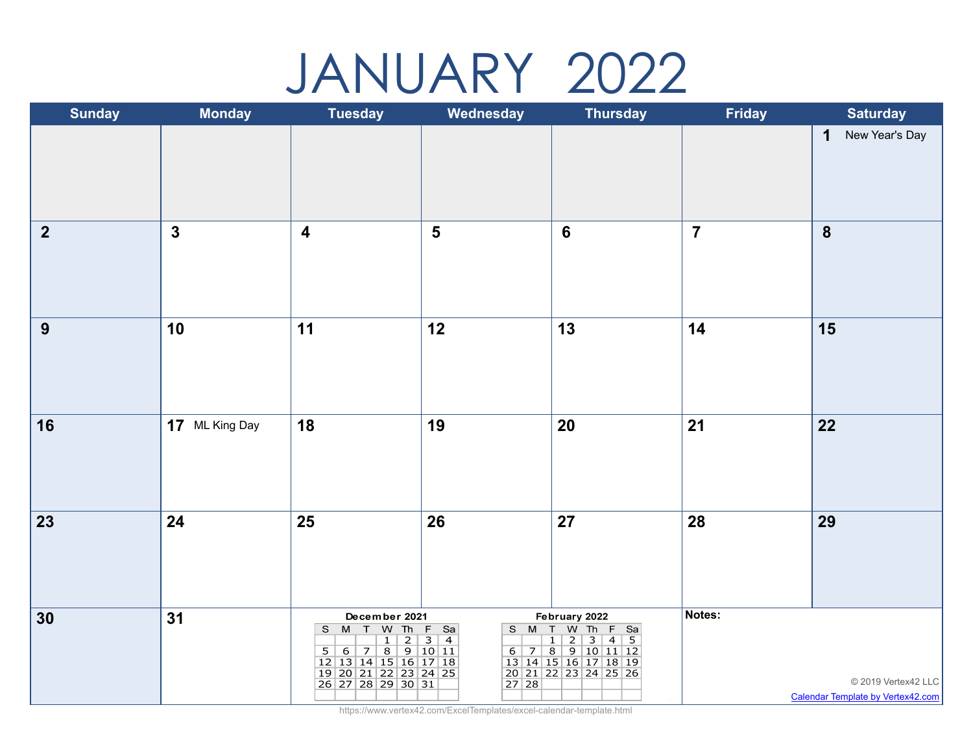### JANUARY 2022

| <b>Sunday</b>           | <b>Monday</b>  | <b>Tuesday</b>                                                                                                           | Wednesday               | <b>Thursday</b>                                                                                                                   | <b>Friday</b>  | <b>Saturday</b>                                                 |
|-------------------------|----------------|--------------------------------------------------------------------------------------------------------------------------|-------------------------|-----------------------------------------------------------------------------------------------------------------------------------|----------------|-----------------------------------------------------------------|
|                         |                |                                                                                                                          |                         |                                                                                                                                   |                | New Year's Day<br>$\mathbf 1$                                   |
| $\overline{\mathbf{2}}$ | $\mathbf{3}$   | $\overline{\mathbf{4}}$                                                                                                  | $\overline{\mathbf{5}}$ | $\boldsymbol{6}$                                                                                                                  | $\overline{7}$ | $\boldsymbol{8}$                                                |
| 9                       | 10             | 11                                                                                                                       | 12                      | 13                                                                                                                                | 14             | 15                                                              |
| 16                      | 17 ML King Day | 18                                                                                                                       | 19                      | 20                                                                                                                                | 21             | 22                                                              |
| 23                      | 24             | 25                                                                                                                       | 26                      | 27                                                                                                                                | 28             | 29                                                              |
| 30                      | 31             | December 2021<br>S M T W Th F Sa<br>5 6 7 8 9 10 11<br>12 13 14 15 16 17 18<br>19 20 21 22 23 24 25<br>26 27 28 29 30 31 | S M T                   | February 2022<br>W Th F Sa<br>2 3 4 5<br>0 1 2 3 4 5<br>6 7 8 9 10 11 12<br>13 14 15 16 17 18 19<br>20 21 22 23 24 25 26<br>27 28 | Notes:         | © 2019 Vertex42 LLC<br><b>Calendar Template by Vertex42.com</b> |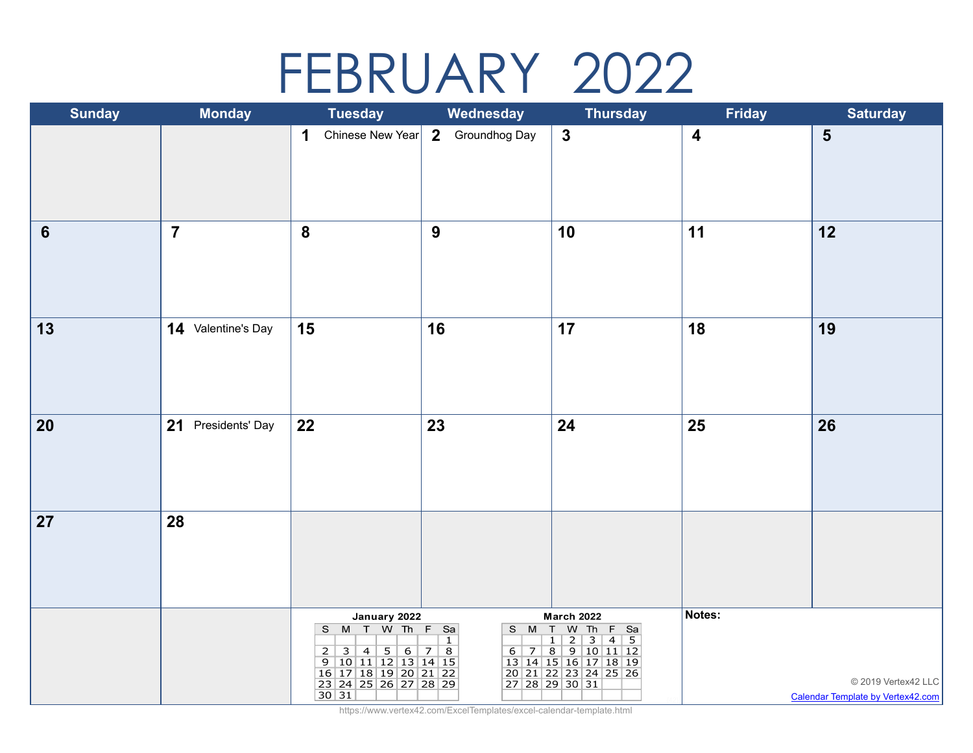## FEBRUARY 2022

| <b>Sunday</b>   | <b>Monday</b>      | <b>Tuesday</b>                                                                                                                   | Wednesday                       | <b>Thursday</b>                                                                                                                                                                             | <b>Friday</b>    | <b>Saturday</b>                                          |
|-----------------|--------------------|----------------------------------------------------------------------------------------------------------------------------------|---------------------------------|---------------------------------------------------------------------------------------------------------------------------------------------------------------------------------------------|------------------|----------------------------------------------------------|
|                 |                    | Chinese New Year<br>1                                                                                                            | $\overline{2}$<br>Groundhog Day | $\mathbf{3}$                                                                                                                                                                                | $\boldsymbol{4}$ | 5                                                        |
| $6\phantom{1}6$ | $\overline{7}$     | $\boldsymbol{8}$                                                                                                                 | $\boldsymbol{9}$                | 10                                                                                                                                                                                          | 11               | 12                                                       |
| 13              | 14 Valentine's Day | 15                                                                                                                               | 16                              | 17                                                                                                                                                                                          | 18               | 19                                                       |
| 20              | 21 Presidents' Day | 22                                                                                                                               | 23                              | 24                                                                                                                                                                                          | 25               | 26                                                       |
| 27              | 28                 |                                                                                                                                  |                                 |                                                                                                                                                                                             |                  |                                                          |
|                 |                    | January 2022<br>S M T W Th F Sa<br>2 3 4 5 6 7 8<br>9 10 11 12 13 14 15<br>16 17 18 19 20 21 22<br>23 24 25 26 27 28 29<br>30 31 | $\mathbf{1}$                    | <b>March 2022</b><br>S M T W Th F Sa<br>$\overline{3}$<br>$\boxed{1}$<br>$\overline{2}$<br>$4 \mid 5$<br>6 7 8 9 10 11 12<br>13 14 15 16 17 18 19<br>20 21 22 23 24 25 26<br>27 28 29 30 31 | Notes:           | © 2019 Vertex42 LLC<br>Calendar Template by Vertex42.com |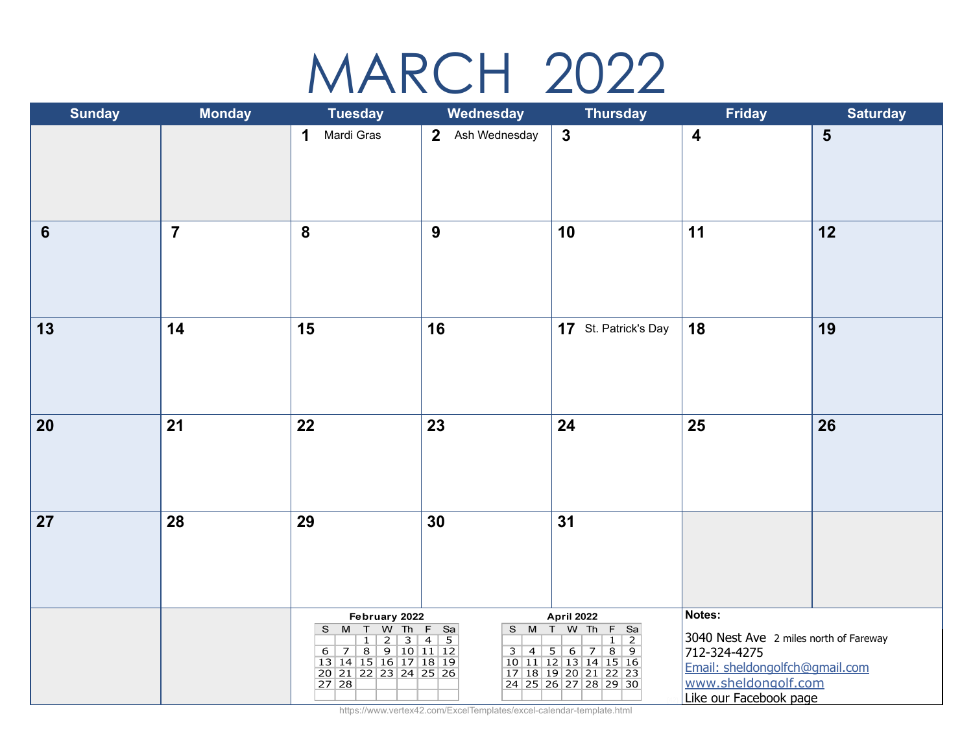## MARCH 2022

| <b>Sunday</b>  | <b>Monday</b>  | <b>Tuesday</b>                                                                                                                | Wednesday        | <b>Thursday</b>                                                                                                                                | <b>Friday</b>                                                                                                                                       | <b>Saturday</b> |
|----------------|----------------|-------------------------------------------------------------------------------------------------------------------------------|------------------|------------------------------------------------------------------------------------------------------------------------------------------------|-----------------------------------------------------------------------------------------------------------------------------------------------------|-----------------|
|                |                | 1<br>Mardi Gras                                                                                                               | 2 Ash Wednesday  | $\mathbf{3}$                                                                                                                                   | $\overline{\mathbf{4}}$                                                                                                                             | $5\phantom{1}$  |
| $6\phantom{1}$ | $\overline{7}$ | 8                                                                                                                             | $\boldsymbol{9}$ | 10                                                                                                                                             | 11                                                                                                                                                  | 12              |
| 13             | 14             | 15                                                                                                                            | 16               | 17 St. Patrick's Day                                                                                                                           | 18                                                                                                                                                  | 19              |
| 20             | 21             | 22                                                                                                                            | 23               | 24                                                                                                                                             | 25                                                                                                                                                  | 26              |
| 27             | 28             | 29                                                                                                                            | 30               | 31                                                                                                                                             |                                                                                                                                                     |                 |
|                |                | February 2022<br>S M T W Th F Sa<br>7 8 9 10 11 12<br>6 <sup>1</sup><br>13 14 15 16 17 18 19<br>20 21 22 23 24 25 26<br>27 28 | $3   4   5  $    | April 2022<br>S M T W Th<br>F Sa<br>$1\vert 2$<br>$8 \mid 9$<br>6<br>7<br>10 11 12 13 14 15 16<br>17 18 19 20 21 22 23<br>24 25 26 27 28 29 30 | Notes:<br>3040 Nest Ave 2 miles north of Fareway<br>712-324-4275<br>Email: sheldongolfch@gmail.com<br>www.sheldongolf.com<br>Like our Facebook page |                 |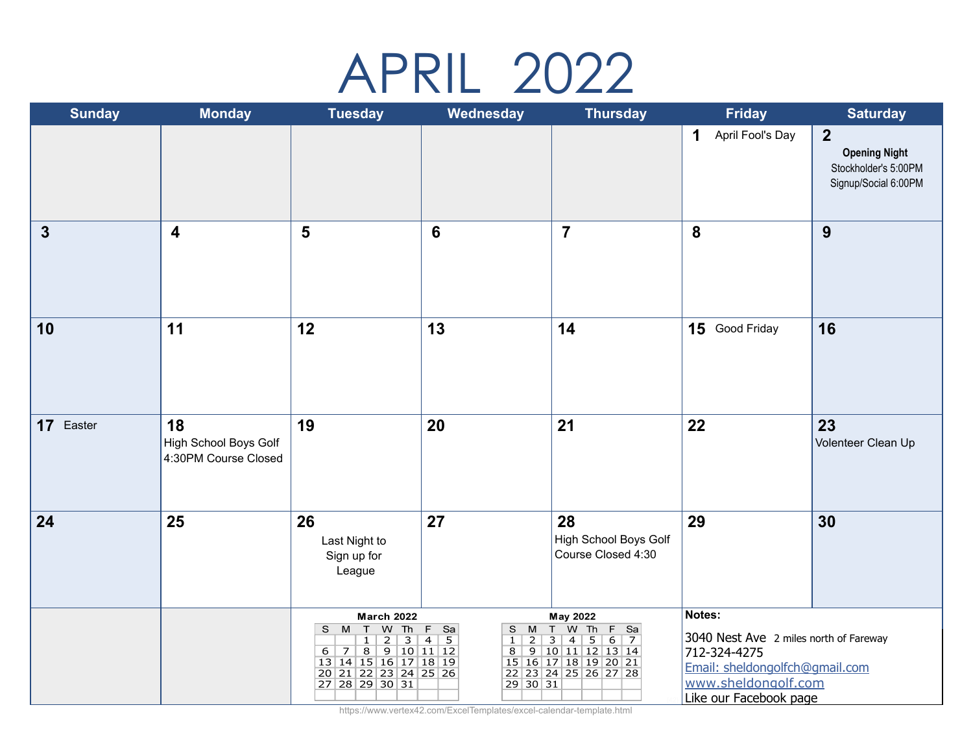## APRIL 2022

| <b>Sunday</b> | <b>Monday</b>                                              | <b>Tuesday</b>                                                                                                                                                          | Wednesday                                                                               | <b>Thursday</b>                                                                                                                                              | <b>Friday</b>                                                                                                                                       | <b>Saturday</b>                                                                        |
|---------------|------------------------------------------------------------|-------------------------------------------------------------------------------------------------------------------------------------------------------------------------|-----------------------------------------------------------------------------------------|--------------------------------------------------------------------------------------------------------------------------------------------------------------|-----------------------------------------------------------------------------------------------------------------------------------------------------|----------------------------------------------------------------------------------------|
|               |                                                            |                                                                                                                                                                         |                                                                                         |                                                                                                                                                              | April Fool's Day<br>1                                                                                                                               | $\overline{2}$<br><b>Opening Night</b><br>Stockholder's 5:00PM<br>Signup/Social 6:00PM |
| $\mathbf{3}$  | $\overline{\mathbf{4}}$                                    | 5                                                                                                                                                                       | 6                                                                                       | $\overline{7}$                                                                                                                                               | 8                                                                                                                                                   | 9                                                                                      |
| 10            | 11                                                         | 12                                                                                                                                                                      | 13                                                                                      | 14                                                                                                                                                           | 15 Good Friday                                                                                                                                      | 16                                                                                     |
| 17 Easter     | 18<br><b>High School Boys Golf</b><br>4:30PM Course Closed | 19                                                                                                                                                                      | 20                                                                                      | 21                                                                                                                                                           | 22                                                                                                                                                  | 23<br>Volenteer Clean Up                                                               |
| 24            | 25                                                         | 26<br>Last Night to<br>Sign up for<br>League                                                                                                                            | 27                                                                                      | 28<br>High School Boys Golf<br>Course Closed 4:30                                                                                                            | 29                                                                                                                                                  | 30                                                                                     |
|               |                                                            | <b>March 2022</b><br>W Th<br>S M<br>$\top$<br>$\overline{2}$<br>3<br>$\mathbf{1}$<br>6 7 8 9 10 11 12<br>13 14 15 16 17 18 19<br>20 21 22 23 24 25 26<br>27 28 29 30 31 | $F$ Sa<br>M<br>S<br>$\overline{4}$<br>5<br>$2^{\circ}$<br>$\mathbf{1}$<br>8<br>29 30 31 | May 2022<br>T W Th<br>F Sa<br>$\mathbf{3}$<br>5<br>6<br>$\overline{7}$<br>$\overline{4}$<br>9 10 11 12 13 14<br>15 16 17 18 19 20 21<br>22 23 24 25 26 27 28 | Notes:<br>3040 Nest Ave 2 miles north of Fareway<br>712-324-4275<br>Email: sheldongolfch@gmail.com<br>www.sheldongolf.com<br>Like our Facebook page |                                                                                        |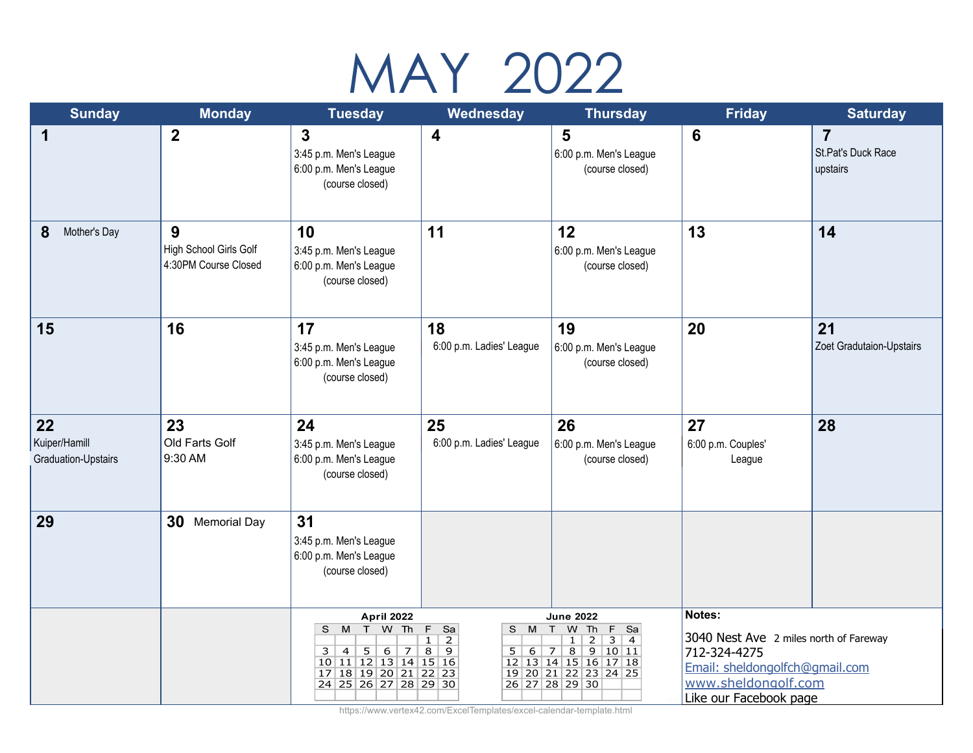# MAY 2022

| <b>Sunday</b>                              | <b>Monday</b>                                       | <b>Tuesday</b>                                                                                                                                                | Wednesday                                                                           | <b>Thursday</b>                                                                                                                                                                                                        | <b>Friday</b>                                                                                                                                       | <b>Saturday</b>                                  |
|--------------------------------------------|-----------------------------------------------------|---------------------------------------------------------------------------------------------------------------------------------------------------------------|-------------------------------------------------------------------------------------|------------------------------------------------------------------------------------------------------------------------------------------------------------------------------------------------------------------------|-----------------------------------------------------------------------------------------------------------------------------------------------------|--------------------------------------------------|
| 1                                          | $\boldsymbol{2}$                                    | $\mathbf{3}$<br>3:45 p.m. Men's League<br>6:00 p.m. Men's League<br>(course closed)                                                                           | 4                                                                                   | 5<br>6:00 p.m. Men's League<br>(course closed)                                                                                                                                                                         | $6\phantom{1}6$                                                                                                                                     | $\overline{7}$<br>St.Pat's Duck Race<br>upstairs |
| 8<br>Mother's Day                          | 9<br>High School Girls Golf<br>4:30PM Course Closed | 10<br>3:45 p.m. Men's League<br>6:00 p.m. Men's League<br>(course closed)                                                                                     | 11                                                                                  | 12<br>6:00 p.m. Men's League<br>(course closed)                                                                                                                                                                        | 13                                                                                                                                                  | 14                                               |
| 15                                         | 16                                                  | 17<br>3:45 p.m. Men's League<br>6:00 p.m. Men's League<br>(course closed)                                                                                     | 18<br>6:00 p.m. Ladies' League                                                      | 19<br>6:00 p.m. Men's League<br>(course closed)                                                                                                                                                                        | 20                                                                                                                                                  | 21<br>Zoet Gradutaion-Upstairs                   |
| 22<br>Kuiper/Hamill<br>Graduation-Upstairs | 23<br>Old Farts Golf<br>9:30 AM                     | 24<br>3:45 p.m. Men's League<br>6:00 p.m. Men's League<br>(course closed)                                                                                     | 25<br>6:00 p.m. Ladies' League                                                      | 26<br>6:00 p.m. Men's League<br>(course closed)                                                                                                                                                                        | 27<br>6:00 p.m. Couples'<br>League                                                                                                                  | 28                                               |
| 29                                         | 30<br><b>Memorial Day</b>                           | 31<br>3:45 p.m. Men's League<br>6:00 p.m. Men's League<br>(course closed)                                                                                     |                                                                                     |                                                                                                                                                                                                                        |                                                                                                                                                     |                                                  |
|                                            |                                                     | <b>April 2022</b><br>S M T<br>W Th<br>5 <sub>1</sub><br>6<br>3<br>$\overline{4}$<br>7<br>10 11 12 13 14 15 16<br>17 18 19 20 21 22 23<br>24 25 26 27 28 29 30 | $\overline{E}$<br>Sa<br>S M<br>1<br>2<br>8<br>$\overline{9}$<br>5<br>6 <sup>1</sup> | <b>June 2022</b><br>T<br>W<br>Th<br>F<br>Sa<br>$\overline{2}$<br>3<br>$\mathbf{1}$<br>$\overline{4}$<br>8<br>$\overline{9}$<br>10 11<br><sup>7</sup><br>12 13 14 15 16 17 18<br>19 20 21 22 23 24 25<br>26 27 28 29 30 | Notes:<br>3040 Nest Ave 2 miles north of Fareway<br>712-324-4275<br>Email: sheldongolfch@gmail.com<br>www.sheldongolf.com<br>Like our Facebook page |                                                  |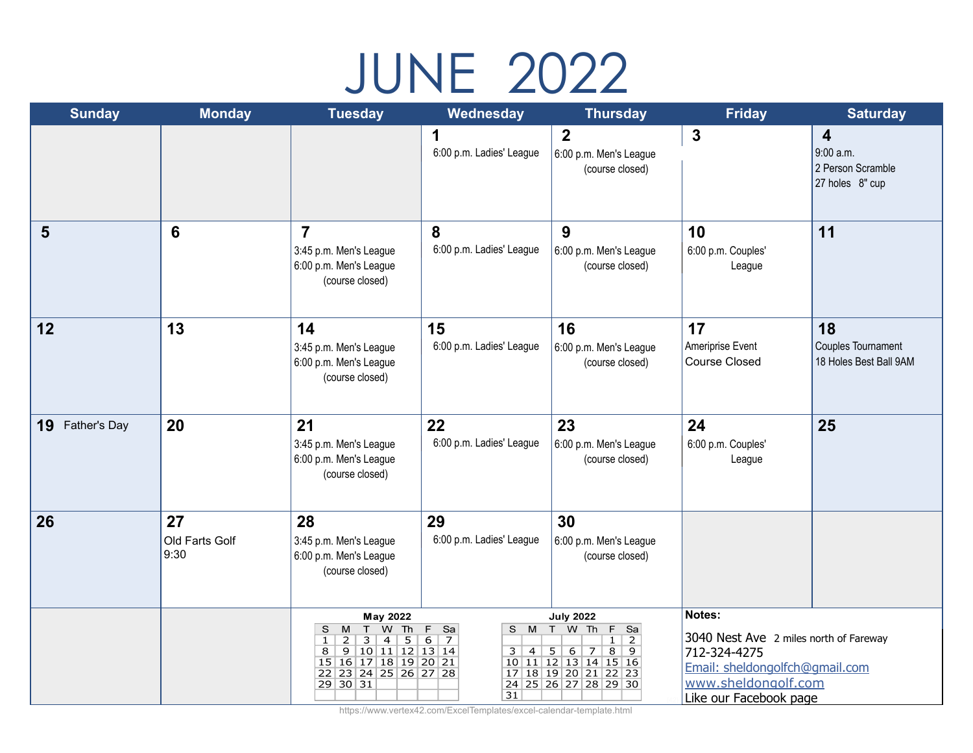# JUNE 2022

| <b>Sunday</b>      | <b>Monday</b>                | <b>Tuesday</b>                                                                                                                                                                                                  | Wednesday                                                                         | <b>Thursday</b>                                                                                                                                                                        | <b>Friday</b>                                                                                                                                       | <b>Saturday</b>                                                              |
|--------------------|------------------------------|-----------------------------------------------------------------------------------------------------------------------------------------------------------------------------------------------------------------|-----------------------------------------------------------------------------------|----------------------------------------------------------------------------------------------------------------------------------------------------------------------------------------|-----------------------------------------------------------------------------------------------------------------------------------------------------|------------------------------------------------------------------------------|
|                    |                              |                                                                                                                                                                                                                 | 1<br>6:00 p.m. Ladies' League                                                     | $\overline{2}$<br>6:00 p.m. Men's League<br>(course closed)                                                                                                                            | $\mathbf{3}$                                                                                                                                        | $\overline{\mathbf{4}}$<br>9:00 a.m.<br>2 Person Scramble<br>27 holes 8" cup |
| 5                  | $6\phantom{1}6$              | $\overline{7}$<br>3:45 p.m. Men's League<br>6:00 p.m. Men's League<br>(course closed)                                                                                                                           | 8<br>6:00 p.m. Ladies' League                                                     | 9<br>6:00 p.m. Men's League<br>(course closed)                                                                                                                                         | 10<br>6:00 p.m. Couples'<br>League                                                                                                                  | 11                                                                           |
| 12                 | 13                           | 14<br>3:45 p.m. Men's League<br>6:00 p.m. Men's League<br>(course closed)                                                                                                                                       | 15<br>6:00 p.m. Ladies' League                                                    | 16<br>6:00 p.m. Men's League<br>(course closed)                                                                                                                                        | 17<br>Ameriprise Event<br><b>Course Closed</b>                                                                                                      | 18<br>Couples Tournament<br>18 Holes Best Ball 9AM                           |
| 19<br>Father's Day | 20                           | 21<br>3:45 p.m. Men's League<br>6:00 p.m. Men's League<br>(course closed)                                                                                                                                       | 22<br>6:00 p.m. Ladies' League                                                    | 23<br>6:00 p.m. Men's League<br>(course closed)                                                                                                                                        | 24<br>6:00 p.m. Couples'<br>League                                                                                                                  | 25                                                                           |
| 26                 | 27<br>Old Farts Golf<br>9:30 | 28<br>3:45 p.m. Men's League<br>6:00 p.m. Men's League<br>(course closed)                                                                                                                                       | 29<br>6:00 p.m. Ladies' League                                                    | 30<br>6:00 p.m. Men's League<br>(course closed)                                                                                                                                        |                                                                                                                                                     |                                                                              |
|                    |                              | May 2022<br>T<br>W Th<br>S<br>M<br>$\overline{5}$<br>$\mathbf{1}$<br>$\overline{2}$<br>3<br>$\overline{4}$<br>$\overline{8}$<br>9<br>10 11 12 13 14<br>15 16 17 18 19 20 21<br>22 23 24 25 26 27 28<br>29 30 31 | F.<br>Sa<br>S M<br>6<br>$\overline{7}$<br>$\overline{3}$<br>$\vert 4 \vert$<br>31 | <b>July 2022</b><br>T W Th<br>F.<br>Sa<br>2<br>$\mathbf{1}$<br>8<br>5 <sup>7</sup><br>6<br>9<br>$\overline{7}$<br>10 11 12 13 14 15 16<br>17 18 19 20 21 22 23<br>24 25 26 27 28 29 30 | Notes:<br>3040 Nest Ave 2 miles north of Fareway<br>712-324-4275<br>Email: sheldongolfch@gmail.com<br>www.sheldongolf.com<br>Like our Facebook page |                                                                              |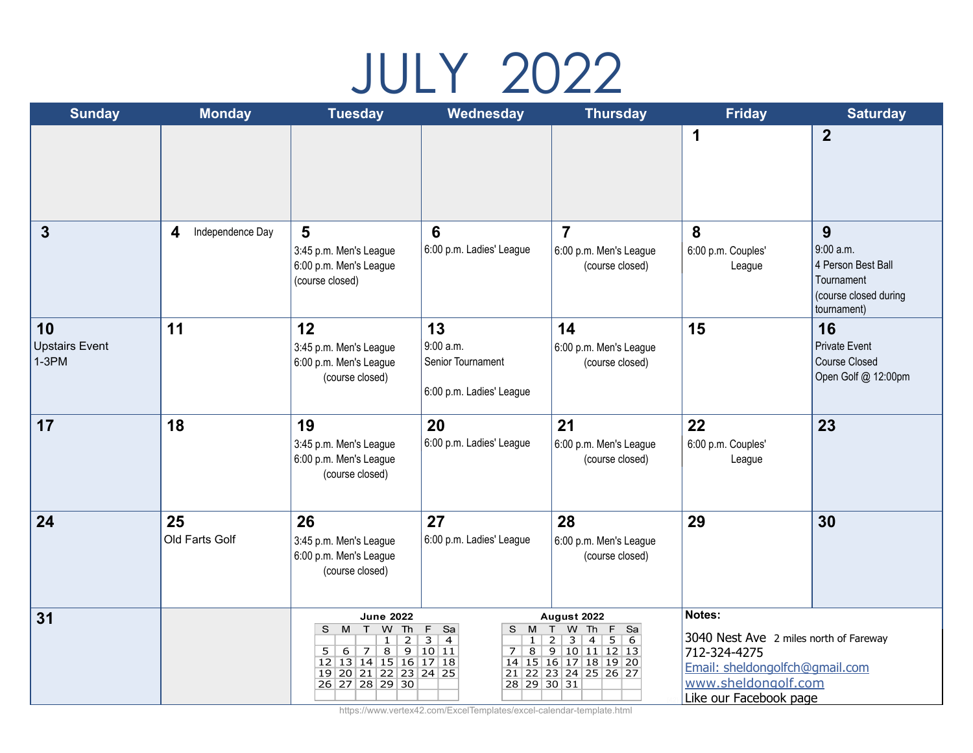## JULY 2022

| <b>Sunday</b>                          | <b>Monday</b>                        | <b>Tuesday</b>                                                                                                                                                                                                                        | Wednesday                                                                                                | <b>Thursday</b>                                                                                                                                                | <b>Friday</b>                                                                                                                                       | <b>Saturday</b>                                                                            |
|----------------------------------------|--------------------------------------|---------------------------------------------------------------------------------------------------------------------------------------------------------------------------------------------------------------------------------------|----------------------------------------------------------------------------------------------------------|----------------------------------------------------------------------------------------------------------------------------------------------------------------|-----------------------------------------------------------------------------------------------------------------------------------------------------|--------------------------------------------------------------------------------------------|
|                                        |                                      |                                                                                                                                                                                                                                       |                                                                                                          |                                                                                                                                                                | 1                                                                                                                                                   | $\overline{2}$                                                                             |
| $\boldsymbol{3}$                       | $\boldsymbol{4}$<br>Independence Day | 5<br>3:45 p.m. Men's League<br>6:00 p.m. Men's League<br>(course closed)                                                                                                                                                              | 6<br>6:00 p.m. Ladies' League                                                                            | $\overline{7}$<br>6:00 p.m. Men's League<br>(course closed)                                                                                                    | 8<br>6:00 p.m. Couples'<br>League                                                                                                                   | 9<br>9:00 a.m.<br>4 Person Best Ball<br>Tournament<br>(course closed during<br>tournament) |
| 10<br><b>Upstairs Event</b><br>$1-3PM$ | 11                                   | 12<br>3:45 p.m. Men's League<br>6:00 p.m. Men's League<br>(course closed)                                                                                                                                                             | 13<br>9:00 a.m.<br>Senior Tournament<br>6:00 p.m. Ladies' League                                         | 14<br>6:00 p.m. Men's League<br>(course closed)                                                                                                                | 15                                                                                                                                                  | 16<br><b>Private Event</b><br><b>Course Closed</b><br>Open Golf @ 12:00pm                  |
| 17                                     | 18                                   | 19<br>3:45 p.m. Men's League<br>6:00 p.m. Men's League<br>(course closed)                                                                                                                                                             | 20<br>6:00 p.m. Ladies' League                                                                           | 21<br>6:00 p.m. Men's League<br>(course closed)                                                                                                                | 22<br>6:00 p.m. Couples'<br>League                                                                                                                  | 23                                                                                         |
| 24                                     | 25<br>Old Farts Golf                 | 26<br>3:45 p.m. Men's League<br>6:00 p.m. Men's League<br>(course closed)                                                                                                                                                             | 27<br>6:00 p.m. Ladies' League                                                                           | 28<br>6:00 p.m. Men's League<br>(course closed)                                                                                                                | 29                                                                                                                                                  | 30                                                                                         |
| 31                                     |                                      | <b>June 2022</b><br>S M<br>W<br>Th<br>T<br>$\overline{2}$<br>$\mathbf{1}$<br>$\overline{8}$<br>$\overline{9}$<br>5 <sup>7</sup><br>6 <sup>2</sup><br>7 <sup>1</sup><br>12 13 14 15 16 17 18<br>19 20 21 22 23 24 25<br>26 27 28 29 30 | F.<br>Sa<br>S M<br>$\overline{3}$<br>$\overline{4}$<br>1<br>10 11<br>$\overline{8}$<br>7.<br>28 29 30 31 | August 2022<br>T<br>Th<br><b>W</b><br>F Sa<br>5 <sup>7</sup><br>$\overline{2}$<br>3<br>4<br>6<br>9 10 11 12 13<br>14 15 16 17 18 19 20<br>21 22 23 24 25 26 27 | Notes:<br>3040 Nest Ave 2 miles north of Fareway<br>712-324-4275<br>Email: sheldongolfch@gmail.com<br>www.sheldongolf.com<br>Like our Facebook page |                                                                                            |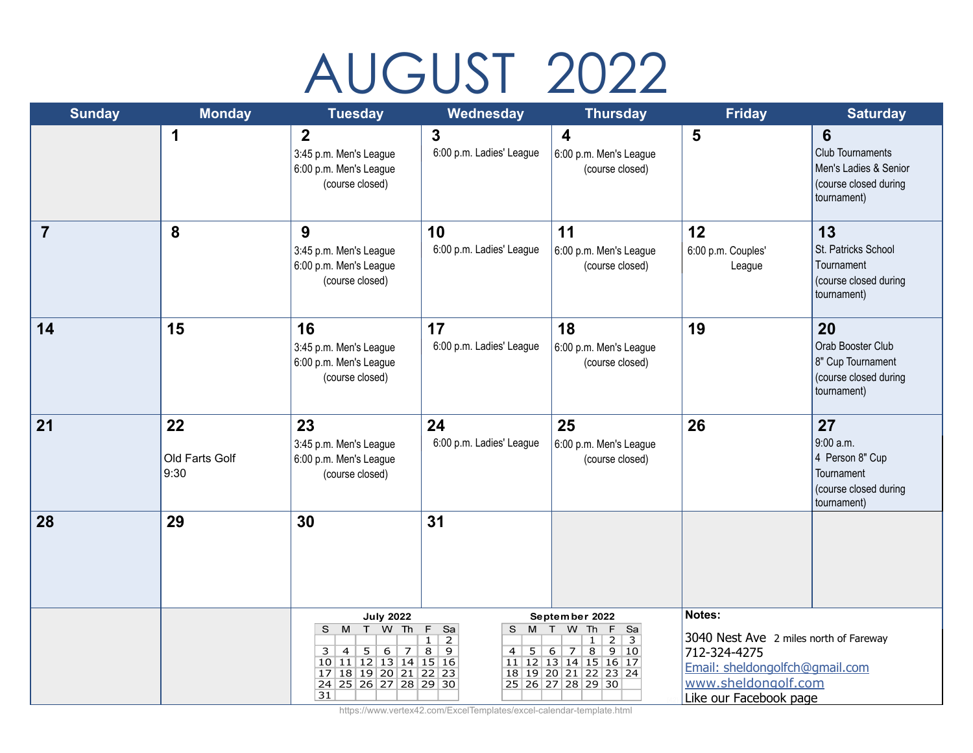# AUGUST 2022

| <b>Sunday</b>  | <b>Monday</b>                | <b>Tuesday</b>                                                                                                                                                                  | Wednesday                                                                                                                          | <b>Thursday</b>                                                                                                                                                                                | <b>Friday</b>                                                                                                                                       | <b>Saturday</b>                                                                               |
|----------------|------------------------------|---------------------------------------------------------------------------------------------------------------------------------------------------------------------------------|------------------------------------------------------------------------------------------------------------------------------------|------------------------------------------------------------------------------------------------------------------------------------------------------------------------------------------------|-----------------------------------------------------------------------------------------------------------------------------------------------------|-----------------------------------------------------------------------------------------------|
|                | 1                            | $\overline{2}$<br>3:45 p.m. Men's League<br>6:00 p.m. Men's League<br>(course closed)                                                                                           | $\mathbf{3}$<br>6:00 p.m. Ladies' League                                                                                           | $\overline{\mathbf{4}}$<br>6:00 p.m. Men's League<br>(course closed)                                                                                                                           | $5\phantom{1}$                                                                                                                                      | 6<br><b>Club Tournaments</b><br>Men's Ladies & Senior<br>(course closed during<br>tournament) |
| $\overline{7}$ | 8                            | 9<br>3:45 p.m. Men's League<br>6:00 p.m. Men's League<br>(course closed)                                                                                                        | 10<br>6:00 p.m. Ladies' League                                                                                                     | 11<br>6:00 p.m. Men's League<br>(course closed)                                                                                                                                                | 12<br>6:00 p.m. Couples'<br>League                                                                                                                  | 13<br>St. Patricks School<br>Tournament<br>(course closed during<br>tournament)               |
| 14             | 15                           | 16<br>3:45 p.m. Men's League<br>6:00 p.m. Men's League<br>(course closed)                                                                                                       | 17<br>6:00 p.m. Ladies' League                                                                                                     | 18<br>6:00 p.m. Men's League<br>(course closed)                                                                                                                                                | 19                                                                                                                                                  | 20<br>Orab Booster Club<br>8" Cup Tournament<br>(course closed during<br>tournament)          |
| 21             | 22<br>Old Farts Golf<br>9:30 | 23<br>3:45 p.m. Men's League<br>6:00 p.m. Men's League<br>(course closed)                                                                                                       | 24<br>6:00 p.m. Ladies' League                                                                                                     | 25<br>6:00 p.m. Men's League<br>(course closed)                                                                                                                                                | 26                                                                                                                                                  | 27<br>9:00 a.m.<br>4 Person 8" Cup<br>Tournament<br>(course closed during<br>tournament)      |
| 28             | 29                           | 30                                                                                                                                                                              | 31                                                                                                                                 |                                                                                                                                                                                                |                                                                                                                                                     |                                                                                               |
|                |                              | <b>July 2022</b><br>W Th<br>S M T<br>6<br>3<br>$\overline{4}$<br>5 <sup>1</sup><br>$\overline{7}$<br>10 11 12 13 14 15 16<br>17 18 19 20 21 22 23<br>24 25 26 27 28 29 30<br>31 | $\overline{F}$<br>Sa<br>S<br><b>M</b><br>$\mathbf{1}$<br>$\overline{2}$<br>$\overline{8}$<br>$\overline{9}$<br>5 <sup>1</sup><br>4 | September 2022<br>F<br>$\top$<br>W<br>Th<br>Sa<br>3<br>$\overline{2}$<br>$\mathbf{1}$<br>$\overline{8}$<br>9 10<br>6<br>7<br>11 12 13 14 15 16 17<br>18 19 20 21 22 23 24<br>25 26 27 28 29 30 | Notes:<br>3040 Nest Ave 2 miles north of Fareway<br>712-324-4275<br>Email: sheldongolfch@gmail.com<br>www.sheldongolf.com<br>Like our Facebook page |                                                                                               |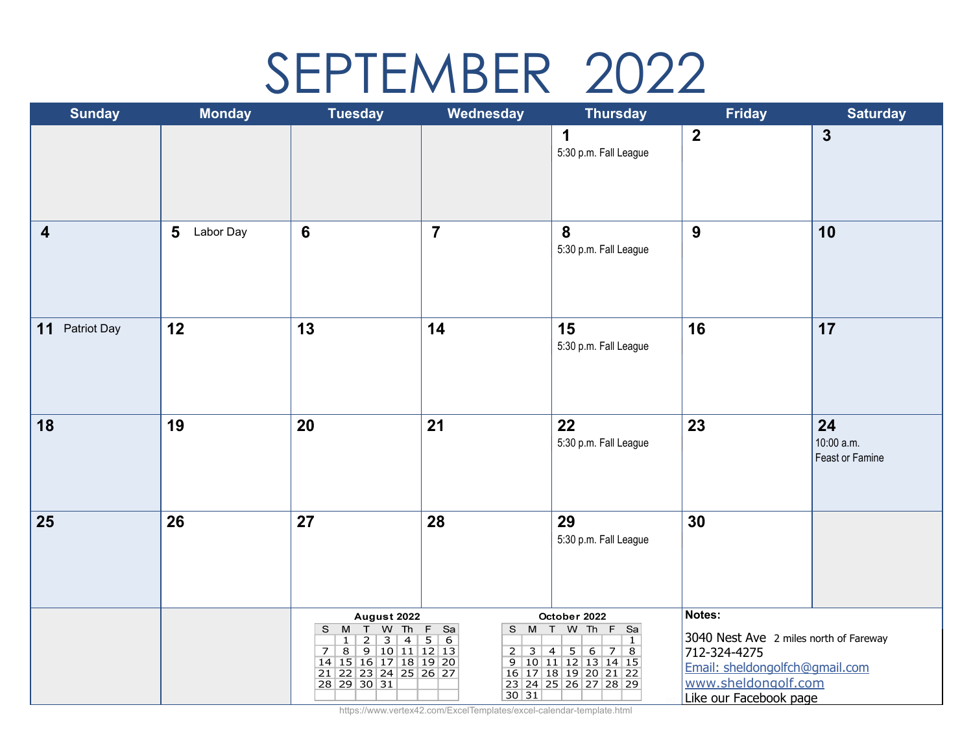## SEPTEMBER 2022

| <b>Sunday</b>           | <b>Monday</b>  | <b>Tuesday</b>                                                                                                                                                                     | Wednesday                                                    | <b>Thursday</b>                                                                                                                                                                               | <b>Friday</b>                                                                                                                                       | <b>Saturday</b>                     |
|-------------------------|----------------|------------------------------------------------------------------------------------------------------------------------------------------------------------------------------------|--------------------------------------------------------------|-----------------------------------------------------------------------------------------------------------------------------------------------------------------------------------------------|-----------------------------------------------------------------------------------------------------------------------------------------------------|-------------------------------------|
|                         |                |                                                                                                                                                                                    |                                                              | $\mathbf 1$<br>5:30 p.m. Fall League                                                                                                                                                          | $\boldsymbol{2}$                                                                                                                                    | $\mathbf{3}$                        |
| $\overline{\mathbf{4}}$ | 5<br>Labor Day | $6\phantom{1}6$                                                                                                                                                                    | $\overline{7}$                                               | 8<br>5:30 p.m. Fall League                                                                                                                                                                    | 9                                                                                                                                                   | 10                                  |
| Patriot Day<br>11       | 12             | 13                                                                                                                                                                                 | 14                                                           | 15<br>5:30 p.m. Fall League                                                                                                                                                                   | 16                                                                                                                                                  | 17                                  |
| 18                      | 19             | 20                                                                                                                                                                                 | 21                                                           | 22<br>5:30 p.m. Fall League                                                                                                                                                                   | 23                                                                                                                                                  | 24<br>10:00 a.m.<br>Feast or Famine |
| 25                      | 26             | 27                                                                                                                                                                                 | 28                                                           | 29<br>5:30 p.m. Fall League                                                                                                                                                                   | 30                                                                                                                                                  |                                     |
|                         |                | August 2022<br>T<br>W<br>Th<br>S M<br>3<br>$\overline{4}$<br>$\overline{2}$<br>$\mathbf{1}$<br>8 9 10 11 12 13<br>7<br>14 15 16 17 18 19 20<br>21 22 23 24 25 26 27<br>28 29 30 31 | $F$ Sa<br>S M T<br>$\overline{5}$<br>$\overline{6}$<br>30 31 | October 2022<br>W Th F Sa<br>$\mathbf{1}$<br>$\begin{array}{c cccc} 2 & 3 & 4 & 5 & 6 & 7 & 8 \\ 9 & 10 & 11 & 12 & 13 & 14 & 15 \end{array}$<br>16 17 18 19 20 21 22<br>23 24 25 26 27 28 29 | Notes:<br>3040 Nest Ave 2 miles north of Fareway<br>712-324-4275<br>Email: sheldongolfch@gmail.com<br>www.sheldongolf.com<br>Like our Facebook page |                                     |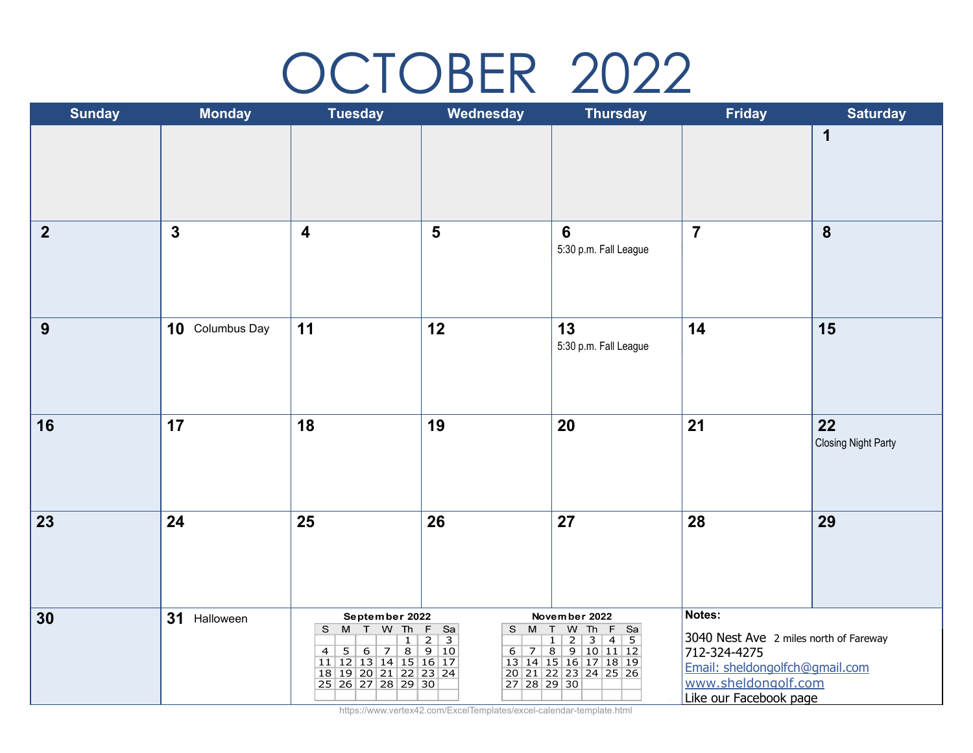## OCTOBER 2022

| <b>Sunday</b>  | <b>Monday</b>   | <b>Tuesday</b>                                                                                                                      | Wednesday                                        | <b>Thursday</b>                                                                                                                                                                | <b>Friday</b>                                                                                                                                       | <b>Saturday</b>                  |
|----------------|-----------------|-------------------------------------------------------------------------------------------------------------------------------------|--------------------------------------------------|--------------------------------------------------------------------------------------------------------------------------------------------------------------------------------|-----------------------------------------------------------------------------------------------------------------------------------------------------|----------------------------------|
|                |                 |                                                                                                                                     |                                                  |                                                                                                                                                                                |                                                                                                                                                     | $\mathbf 1$                      |
| $\overline{2}$ | $\mathbf{3}$    | $\overline{\mathbf{4}}$                                                                                                             | $5\phantom{1}$                                   | $6\phantom{1}6$<br>5:30 p.m. Fall League                                                                                                                                       | $\overline{7}$                                                                                                                                      | 8                                |
| 9              | 10 Columbus Day | 11                                                                                                                                  | 12                                               | 13<br>5:30 p.m. Fall League                                                                                                                                                    | 14                                                                                                                                                  | 15                               |
| 16             | 17              | 18                                                                                                                                  | 19                                               | 20                                                                                                                                                                             | 21                                                                                                                                                  | 22<br><b>Closing Night Party</b> |
| 23             | 24              | 25                                                                                                                                  | 26                                               | 27                                                                                                                                                                             | 28                                                                                                                                                  | 29                               |
| 30             | 31 Halloween    | September 2022<br>S M T W Th<br>$\mathbf{1}$<br>4 5 6 7 8 9 10<br>11 12 13 14 15 16 17<br>18 19 20 21 22 23 24<br>25 26 27 28 29 30 | $F$ Sa<br>$S$ M<br>$\overline{2}$<br>27 28 29 30 | November 2022<br>W Th F Sa<br>T<br>$\overline{2}$<br>$\overline{3}$<br>$\overline{4}$<br>5<br>$\mathbf{1}$<br>6 7 8 9 10 11 12<br>13 14 15 16 17 18 19<br>20 21 22 23 24 25 26 | Notes:<br>3040 Nest Ave 2 miles north of Fareway<br>712-324-4275<br>Email: sheldongolfch@gmail.com<br>www.sheldongolf.com<br>Like our Facebook page |                                  |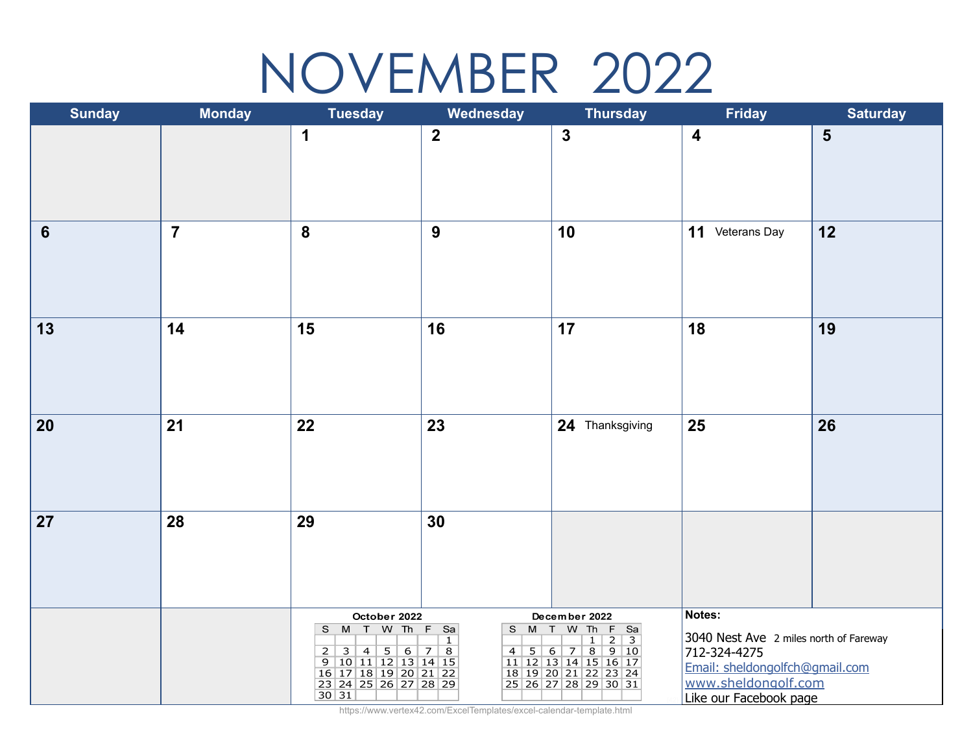## NOVEMBER 2022

| <b>Sunday</b>  | <b>Monday</b>  | <b>Tuesday</b>                                                                                                                     | Wednesday           | <b>Thursday</b>                                                                                                                                                                    | <b>Friday</b>                                                                                                                                       | <b>Saturday</b> |
|----------------|----------------|------------------------------------------------------------------------------------------------------------------------------------|---------------------|------------------------------------------------------------------------------------------------------------------------------------------------------------------------------------|-----------------------------------------------------------------------------------------------------------------------------------------------------|-----------------|
|                |                | 1                                                                                                                                  | $\overline{2}$      | $\mathbf{3}$                                                                                                                                                                       | $\boldsymbol{4}$                                                                                                                                    | $5\phantom{1}$  |
| $6\phantom{1}$ | $\overline{7}$ | $\boldsymbol{8}$                                                                                                                   | 9                   | 10                                                                                                                                                                                 | 11 Veterans Day                                                                                                                                     | 12              |
| 13             | 14             | 15                                                                                                                                 | 16                  | 17                                                                                                                                                                                 | 18                                                                                                                                                  | 19              |
| 20             | 21             | 22                                                                                                                                 | 23                  | 24 Thanksgiving                                                                                                                                                                    | 25                                                                                                                                                  | 26              |
| 27             | 28             | 29                                                                                                                                 | 30                  |                                                                                                                                                                                    |                                                                                                                                                     |                 |
|                |                | October 2022<br>S M T W Th F Sa<br>2 3 4 5 6 7 8<br>9 10 11 12 13 14 15<br>16 17 18 19 20 21 22<br>23 24 25 26 27 28 29<br>$30 31$ | S M<br>$\mathbf{1}$ | December 2022<br>W Th F Sa<br>T<br>$\frac{1}{2}$<br>$\overline{\mathbf{3}}$<br>$1 \vert$<br>4 5 6 7 8 9 10<br>11 12 13 14 15 16 17<br>18 19 20 21 22 23 24<br>25 26 27 28 29 30 31 | Notes:<br>3040 Nest Ave 2 miles north of Fareway<br>712-324-4275<br>Email: sheldongolfch@gmail.com<br>www.sheldongolf.com<br>Like our Facebook page |                 |